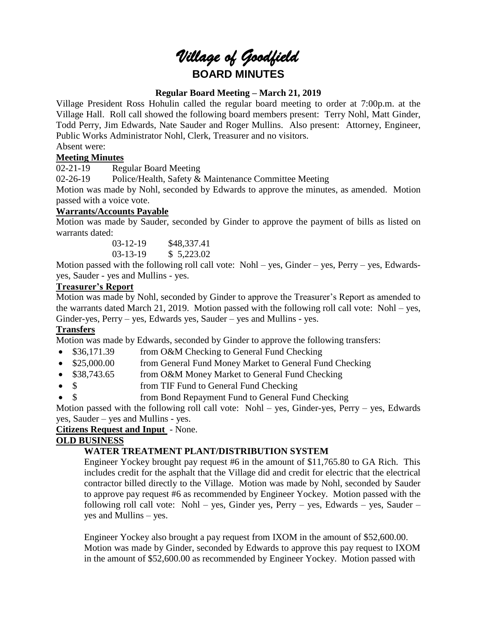# *Village of Goodfield* **BOARD MINUTES**

## **Regular Board Meeting – March 21, 2019**

Village President Ross Hohulin called the regular board meeting to order at 7:00p.m. at the Village Hall. Roll call showed the following board members present: Terry Nohl, Matt Ginder, Todd Perry, Jim Edwards, Nate Sauder and Roger Mullins. Also present: Attorney, Engineer, Public Works Administrator Nohl, Clerk, Treasurer and no visitors.

Absent were:

# **Meeting Minutes**

02-21-19 Regular Board Meeting

02-26-19 Police/Health, Safety & Maintenance Committee Meeting

Motion was made by Nohl, seconded by Edwards to approve the minutes, as amended. Motion passed with a voice vote.

## **Warrants/Accounts Payable**

Motion was made by Sauder, seconded by Ginder to approve the payment of bills as listed on warrants dated:

> 03-12-19 \$48,337.41 03-13-19 \$ 5,223.02

Motion passed with the following roll call vote: Nohl – yes, Ginder – yes, Perry – yes, Edwardsyes, Sauder - yes and Mullins - yes.

## **Treasurer's Report**

Motion was made by Nohl, seconded by Ginder to approve the Treasurer's Report as amended to the warrants dated March 21, 2019. Motion passed with the following roll call vote: Nohl – yes, Ginder-yes, Perry – yes, Edwards yes, Sauder – yes and Mullins - yes.

# **Transfers**

Motion was made by Edwards, seconded by Ginder to approve the following transfers:

- \$36,171.39 from O&M Checking to General Fund Checking
- \$25,000.00 from General Fund Money Market to General Fund Checking
- \$38,743.65 from O&M Money Market to General Fund Checking
- \$ from TIF Fund to General Fund Checking
- \$ from Bond Repayment Fund to General Fund Checking

Motion passed with the following roll call vote: Nohl – yes, Ginder-yes, Perry – yes, Edwards yes, Sauder – yes and Mullins - yes.

# **Citizens Request and Input** - None.

# **OLD BUSINESS**

# **WATER TREATMENT PLANT/DISTRIBUTION SYSTEM**

Engineer Yockey brought pay request #6 in the amount of \$11,765.80 to GA Rich. This includes credit for the asphalt that the Village did and credit for electric that the electrical contractor billed directly to the Village. Motion was made by Nohl, seconded by Sauder to approve pay request #6 as recommended by Engineer Yockey. Motion passed with the following roll call vote: Nohl – yes, Ginder yes, Perry – yes, Edwards – yes, Sauder – yes and Mullins – yes.

Engineer Yockey also brought a pay request from IXOM in the amount of \$52,600.00. Motion was made by Ginder, seconded by Edwards to approve this pay request to IXOM in the amount of \$52,600.00 as recommended by Engineer Yockey. Motion passed with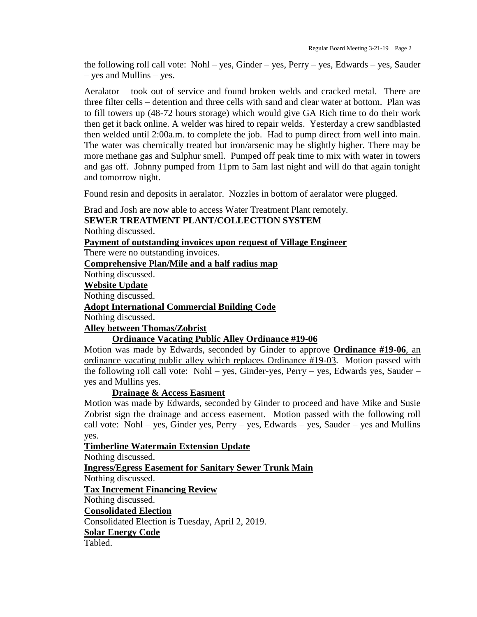the following roll call vote: Nohl – yes, Ginder – yes, Perry – yes, Edwards – yes, Sauder – yes and Mullins – yes.

Aeralator – took out of service and found broken welds and cracked metal. There are three filter cells – detention and three cells with sand and clear water at bottom. Plan was to fill towers up (48-72 hours storage) which would give GA Rich time to do their work then get it back online. A welder was hired to repair welds. Yesterday a crew sandblasted then welded until 2:00a.m. to complete the job. Had to pump direct from well into main. The water was chemically treated but iron/arsenic may be slightly higher. There may be more methane gas and Sulphur smell. Pumped off peak time to mix with water in towers and gas off. Johnny pumped from 11pm to 5am last night and will do that again tonight and tomorrow night.

Found resin and deposits in aeralator. Nozzles in bottom of aeralator were plugged.

Brad and Josh are now able to access Water Treatment Plant remotely.

## **SEWER TREATMENT PLANT/COLLECTION SYSTEM** Nothing discussed.

**Payment of outstanding invoices upon request of Village Engineer**

There were no outstanding invoices.

**Comprehensive Plan/Mile and a half radius map**

Nothing discussed.

#### **Website Update**

Nothing discussed.

**Adopt International Commercial Building Code**

Nothing discussed.

# **Alley between Thomas/Zobrist**

# **Ordinance Vacating Public Alley Ordinance #19-06**

Motion was made by Edwards, seconded by Ginder to approve **Ordinance #19-06**, an ordinance vacating public alley which replaces Ordinance #19-03. Motion passed with the following roll call vote: Nohl – yes, Ginder-yes, Perry – yes, Edwards yes, Sauder – yes and Mullins yes.

## **Drainage & Access Easment**

Motion was made by Edwards, seconded by Ginder to proceed and have Mike and Susie Zobrist sign the drainage and access easement. Motion passed with the following roll call vote: Nohl – yes, Ginder yes, Perry – yes, Edwards – yes, Sauder – yes and Mullins yes.

## **Timberline Watermain Extension Update**

Nothing discussed.

**Ingress/Egress Easement for Sanitary Sewer Trunk Main** Nothing discussed. **Tax Increment Financing Review** Nothing discussed. **Consolidated Election** Consolidated Election is Tuesday, April 2, 2019.

**Solar Energy Code**

Tabled.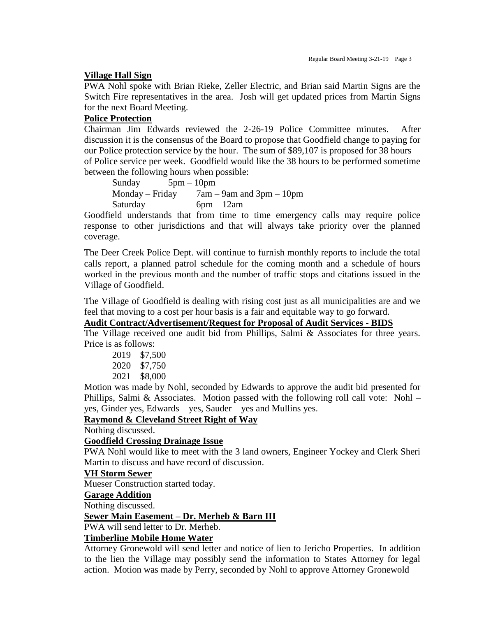#### **Village Hall Sign**

PWA Nohl spoke with Brian Rieke, Zeller Electric, and Brian said Martin Signs are the Switch Fire representatives in the area. Josh will get updated prices from Martin Signs for the next Board Meeting.

## **Police Protection**

Chairman Jim Edwards reviewed the 2-26-19 Police Committee minutes. After discussion it is the consensus of the Board to propose that Goodfield change to paying for our Police protection service by the hour. The sum of \$89,107 is proposed for 38 hours of Police service per week. Goodfield would like the 38 hours to be performed sometime between the following hours when possible:

Sunday 5pm – 10pm Monday – Friday  $7am - 9am$  and  $3pm - 10pm$ Saturday 6pm – 12am

Goodfield understands that from time to time emergency calls may require police response to other jurisdictions and that will always take priority over the planned coverage.

The Deer Creek Police Dept. will continue to furnish monthly reports to include the total calls report, a planned patrol schedule for the coming month and a schedule of hours worked in the previous month and the number of traffic stops and citations issued in the Village of Goodfield.

The Village of Goodfield is dealing with rising cost just as all municipalities are and we feel that moving to a cost per hour basis is a fair and equitable way to go forward.

## **Audit Contract/Advertisement/Request for Proposal of Audit Services - BIDS**

The Village received one audit bid from Phillips, Salmi & Associates for three years. Price is as follows:

| \$7,500<br>2019 |  |
|-----------------|--|
|-----------------|--|

2020 \$7,750

```
2021 $8,000
```
Motion was made by Nohl, seconded by Edwards to approve the audit bid presented for Phillips, Salmi & Associates. Motion passed with the following roll call vote: Nohl – yes, Ginder yes, Edwards – yes, Sauder – yes and Mullins yes.

## **Raymond & Cleveland Street Right of Way**

Nothing discussed.

#### **Goodfield Crossing Drainage Issue**

PWA Nohl would like to meet with the 3 land owners, Engineer Yockey and Clerk Sheri Martin to discuss and have record of discussion.

#### **VH Storm Sewer**

Mueser Construction started today.

#### **Garage Addition**

Nothing discussed.

#### **Sewer Main Easement – Dr. Merheb & Barn III**

PWA will send letter to Dr. Merheb.

#### **Timberline Mobile Home Water**

Attorney Gronewold will send letter and notice of lien to Jericho Properties. In addition to the lien the Village may possibly send the information to States Attorney for legal action. Motion was made by Perry, seconded by Nohl to approve Attorney Gronewold